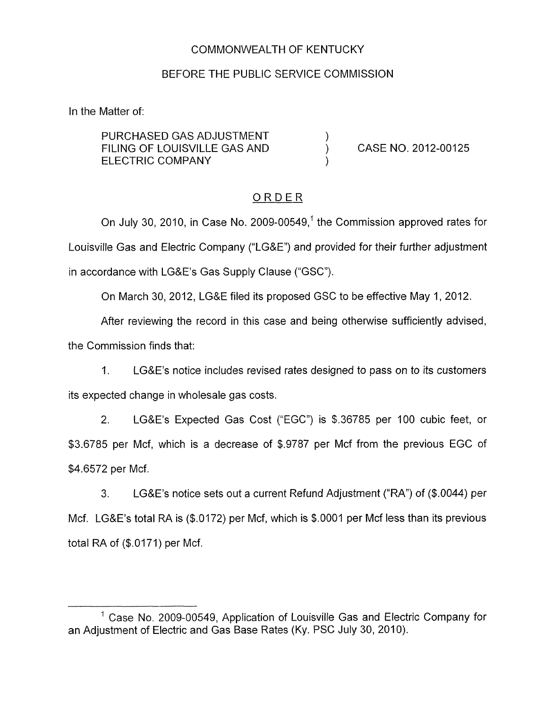### COMMONWEALTH OF KENTUCKY

#### BEFORE THE PUBLIC SERVICE COMMISSION

In the Matter of:

PURCHASED GAS ADJUSTMENT  $\qquad \qquad )$  FILING OF LOUISVILLE GAS AND FILING OF LOUISVILLE GAS AND (CASE NO. 2012-00125) ELECTRIC COMPANY (2002)

## **ORDER**

On July 30, 2010, in Case No. 2009-00549,' the Commission approved rates for Louisville Gas and Electric Company ("LG&E") and provided for their further adjustment in accordance with LG&E's Gas Supply Clause ("GSC").

On March 30, 2012, LG&E filed its proposed GSC to be effective May 1, 2012.

After reviewing the record in this case and being otherwise sufficiently advised, the Commission finds that:

1. LG&E's notice includes revised rates designed to pass on to its customers its expected change in wholesale gas costs.

2. LG&E's Expected Gas Cost ("EGC") is \$.36785 per 100 cubic feet, or \$3.6785 per Mcf, which is a decrease of \$.9787 per Mcf from the previous EGC of \$4.6572 per Mcf.

3. LG&E's notice sets out a current Refund Adjustment ("RA") of (\$.0044) per Mcf. LG&E's total RA is (\$.0172) per Mcf, which is \$.0001 per Mcf less than its previous total RA of (\$.0171) per Mcf.

<sup>&</sup>lt;sup>1</sup> Case No. 2009-00549, Application of Louisville Gas and Electric Company for an Adjustment of Electric and Gas Base Rates (Ky. PSC July 30, 2010).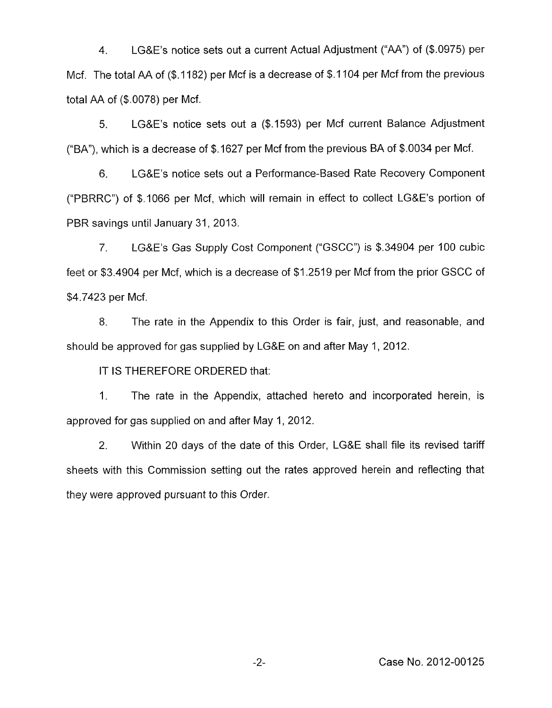4. LG&E's notice sets out a current Actual Adjustment ("AA") of (\$.0975) per Mcf. The total AA of (\$.1182) per Mcf is a decrease of \$.1104 per Mcf from the previous total AA of (\$.0078) per Mcf.

5. LG&E's notice sets out a (\$.1593) per Mcf current Balance Adjustment ("BA"), which is a decrease of  $$.1627$  per Mcf from the previous BA of  $$.0034$  per Mcf.

6. LG&E's notice sets out a Performance-Based Rate Recovery Component ("PBRRC") of \$1066 per Mcf, which will remain in effect to collect LG&E's portion of PBR savings until January 31, 2013.

*7,* LG&E's Gas Supply Cost Component ("GSCC") is \$.34904 per 100 cubic feet or \$3.4904 per Mcf, which is a decrease of \$1.2519 per Mcf from the prior GSCC of \$4.7423 per Mcf.

8. The rate in the Appendix to this Order is fair, just, and reasonable, and should be approved for gas supplied by LG&E on and after May 1, 2012.

IT IS THEREFORE ORDERED that:

1. The rate in the Appendix, attached hereto and incorporated herein, is approved for gas supplied on and after May 1, 2012.

*2.* Within 20 days of the date of this Order, LG&E shall file its revised tariff sheets with this Commission setting out the rates approved herein and reflecting that they were approved pursuant to this Order.

-2- Case No. 2012-00125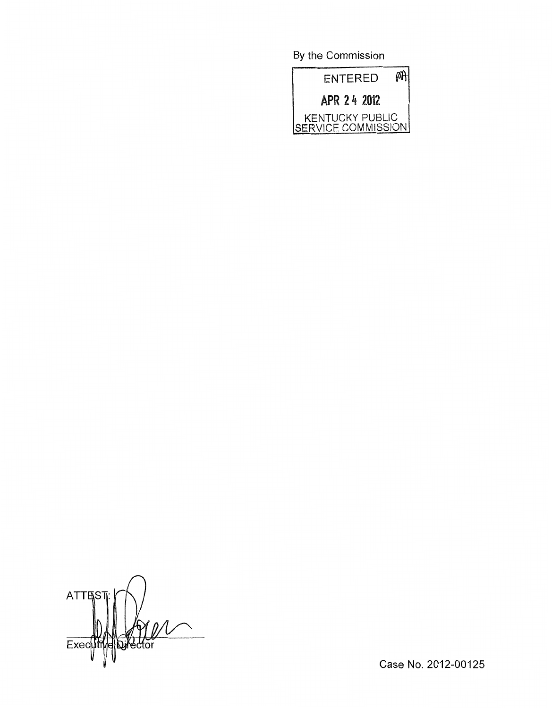By the Commission



ATTES<sup>®</sup> Director Exec

Case No. 2012-00125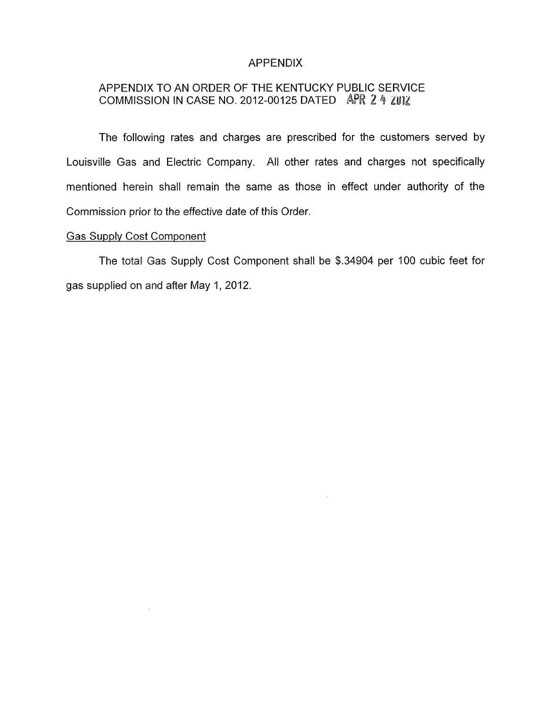### APPENDIX

# APPENDIX TO AN ORDER OF THE KENTUCKY PUBLIC SERVICE COMMISSION IN CASE NO. 2012-00125 DATED APR 2 **9** ZUlZ

The following rates and charges are prescribed for the customers served by Louisville Gas and Electric Company. All other rates and charges not specifically mentioned herein shall remain the same as those in effect under authority of the Commission prior to the effective date of this Order.

#### Gas Supply Cost Component

The total Gas Supply Cost Component shall be **\$.34904** per 100 cubic feet for gas supplied on and after May 1,2012.